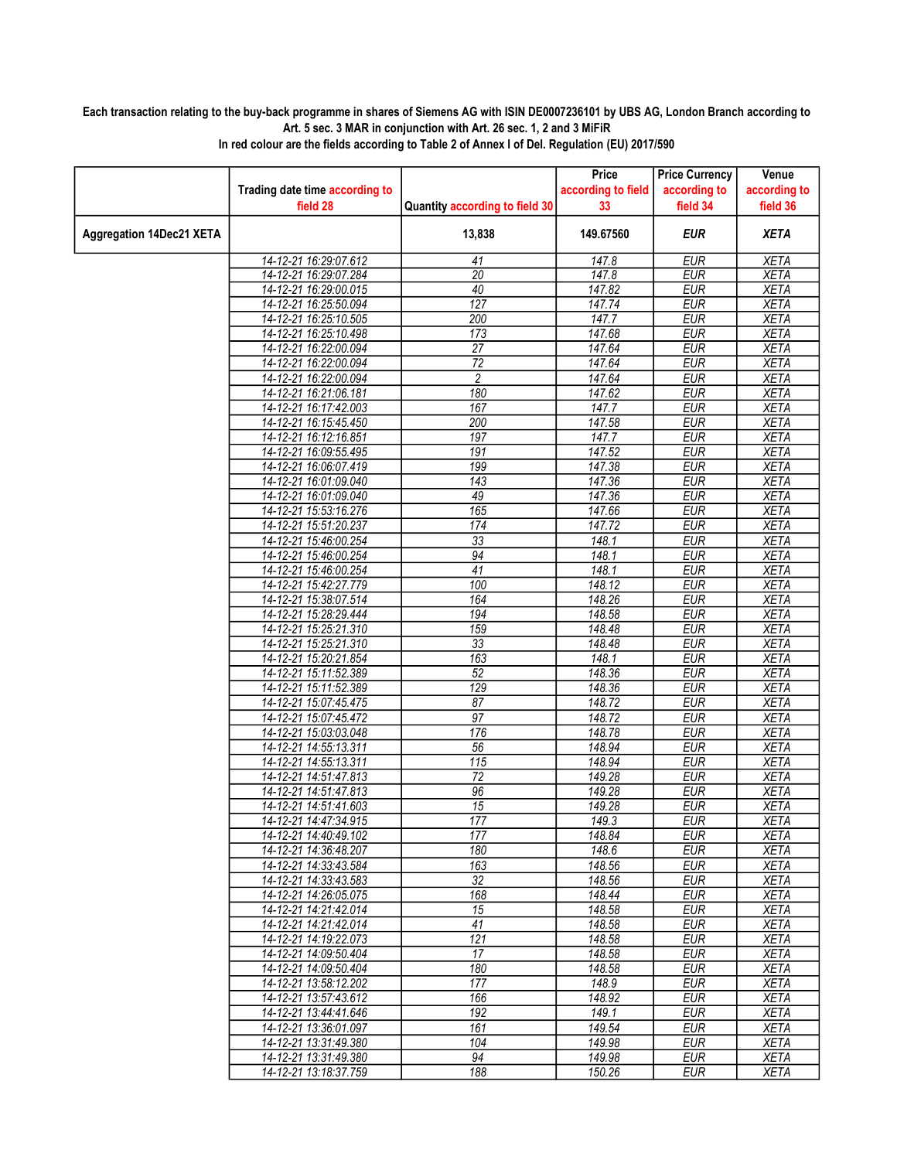## Each transaction relating to the buy-back programme in shares of Siemens AG with ISIN DE0007236101 by UBS AG, London Branch according to Art. 5 sec. 3 MAR in conjunction with Art. 26 sec. 1, 2 and 3 MiFiR

|                                 |                                                |                                | Price              | <b>Price Currency</b>    | Venue                      |
|---------------------------------|------------------------------------------------|--------------------------------|--------------------|--------------------------|----------------------------|
|                                 | Trading date time according to                 |                                | according to field | according to             | according to               |
|                                 | field 28                                       | Quantity according to field 30 | 33                 | field 34                 | field 36                   |
| <b>Aggregation 14Dec21 XETA</b> |                                                | 13,838                         | 149.67560          | <b>EUR</b>               | <b>XETA</b>                |
|                                 | 14-12-21 16:29:07.612                          | 41                             | 147.8              | <b>EUR</b>               | <b>XETA</b>                |
|                                 | 14-12-21 16:29:07.284                          | $\overline{20}$                | 147.8              | <b>EUR</b>               | <b>XETA</b>                |
|                                 | 14-12-21 16:29:00.015                          | 40                             | 147.82             | <b>EUR</b>               | <b>XETA</b>                |
|                                 | 14-12-21 16:25:50.094                          | 127                            | 147.74             | <b>EUR</b>               | <b>XETA</b>                |
|                                 | 14-12-21 16:25:10.505                          | 200                            | 147.7              | <b>EUR</b>               | <b>XETA</b>                |
|                                 | 14-12-21 16:25:10.498                          | 173<br>$\overline{27}$         | 147.68             | <b>EUR</b>               | <b>XETA</b>                |
|                                 | 14-12-21 16:22:00.094<br>14-12-21 16:22:00.094 | 72                             | 147.64<br>147.64   | <b>EUR</b><br><b>EUR</b> | <b>XETA</b><br><b>XETA</b> |
|                                 | 14-12-21 16:22:00.094                          | 2                              | 147.64             | <b>EUR</b>               | <b>XETA</b>                |
|                                 | 14-12-21 16:21:06.181                          | 180                            | 147.62             | <b>EUR</b>               | <b>XETA</b>                |
|                                 | 14-12-21 16:17:42.003                          | 167                            | 147.7              | <b>EUR</b>               | <b>XETA</b>                |
|                                 | 14-12-21 16:15:45.450                          | 200                            | 147.58             | <b>EUR</b>               | <b>XETA</b>                |
|                                 | 14-12-21 16:12:16.851                          | 197                            | 147.7              | <b>EUR</b>               | <b>XETA</b>                |
|                                 | 14-12-21 16:09:55.495                          | 191                            | 147.52             | <b>EUR</b>               | <b>XETA</b>                |
|                                 | 14-12-21 16:06:07.419                          | 199                            | 147.38             | <b>EUR</b>               | <b>XETA</b>                |
|                                 | 14-12-21 16:01:09.040                          | 143                            | 147.36             | <b>EUR</b>               | <b>XETA</b>                |
|                                 | 14-12-21 16:01:09.040                          | 49                             | 147.36             | <b>EUR</b>               | <b>XETA</b>                |
|                                 | 14-12-21 15:53:16.276                          | 165                            | 147.66             | <b>EUR</b>               | <b>XETA</b>                |
|                                 | 14-12-21 15:51:20.237                          | 174                            | 147.72             | <b>EUR</b>               | <b>XETA</b>                |
|                                 | 14-12-21 15:46:00.254                          | $\overline{33}$                | 148.1              | <b>EUR</b>               | <b>XETA</b>                |
|                                 | 14-12-21 15:46:00.254                          | 94                             | 148.1              | <b>EUR</b>               | <b>XETA</b>                |
|                                 | 14-12-21 15:46:00.254                          | 41                             | 148.1              | <b>EUR</b>               | <b>XETA</b>                |
|                                 | 14-12-21 15:42:27.779                          | 100                            | 148.12             | <b>EUR</b>               | <b>XETA</b>                |
|                                 | 14-12-21 15:38:07.514                          | 164                            | 148.26             | <b>EUR</b>               | <b>XETA</b>                |
|                                 | 14-12-21 15:28:29.444                          | 194                            | 148.58             | <b>EUR</b>               | <b>XETA</b>                |
|                                 | 14-12-21 15:25:21.310                          | 159<br>$\overline{33}$         | 148.48             | <b>EUR</b><br><b>EUR</b> | <b>XETA</b><br><b>XETA</b> |
|                                 | 14-12-21 15:25:21.310<br>14-12-21 15:20:21.854 | 163                            | 148.48<br>148.1    | <b>EUR</b>               | <b>XETA</b>                |
|                                 | 14-12-21 15:11:52.389                          | 52                             | 148.36             | <b>EUR</b>               | <b>XETA</b>                |
|                                 | 14-12-21 15:11:52.389                          | 129                            | 148.36             | <b>EUR</b>               | <b>XETA</b>                |
|                                 | 14-12-21 15:07:45.475                          | 87                             | 148.72             | <b>EUR</b>               | <b>XETA</b>                |
|                                 | 14-12-21 15:07:45.472                          | $\overline{97}$                | 148.72             | <b>EUR</b>               | <b>XETA</b>                |
|                                 | 14-12-21 15:03:03.048                          | $\overline{176}$               | 148.78             | <b>EUR</b>               | <b>XETA</b>                |
|                                 | 14-12-21 14:55:13.311                          | $\overline{56}$                | 148.94             | <b>EUR</b>               | <b>XETA</b>                |
|                                 | 14-12-21 14:55:13.311                          | 115                            | 148.94             | <b>EUR</b>               | XETA                       |
|                                 | 14-12-21 14:51:47.813                          | 72                             | 149.28             | <b>EUR</b>               | <b>XETA</b>                |
|                                 | 14-12-21 14:51:47.813                          | 96                             | 149.28             | <b>EUR</b>               | <b>XETA</b>                |
|                                 | 14-12-21 14:51:41.603                          | 15                             | 149.28             | <b>EUR</b>               | <b>XETA</b>                |
|                                 | 14-12-21 14:47:34.915                          | 177                            | 149.3              | <b>EUR</b>               | <b>XETA</b>                |
|                                 | 14-12-21 14:40:49.102                          | 177                            | 148.84             | <b>EUR</b>               | <b>XETA</b>                |
|                                 | 14-12-21 14:36:48.207                          | 180                            | 148.6              | EUR                      | XETA                       |
|                                 | 14-12-21 14:33:43.584                          | 163                            | 148.56             | <b>EUR</b>               | <b>XETA</b>                |
|                                 | 14-12-21 14:33:43.583<br>14-12-21 14:26:05.075 | $\overline{32}$<br>168         | 148.56<br>148.44   | <b>EUR</b><br><b>EUR</b> | <b>XETA</b>                |
|                                 | 14-12-21 14:21:42.014                          | $\overline{15}$                | 148.58             | <b>EUR</b>               | XETA<br><b>XETA</b>        |
|                                 | 14-12-21 14:21:42.014                          | 41                             | 148.58             | <b>EUR</b>               | <b>XETA</b>                |
|                                 | 14-12-21 14:19:22.073                          | 121                            | 148.58             | EUR                      | XETA                       |
|                                 | 14-12-21 14:09:50.404                          | 17                             | 148.58             | <b>EUR</b>               | <b>XETA</b>                |
|                                 | 14-12-21 14:09:50.404                          | 180                            | 148.58             | <b>EUR</b>               | <b>XETA</b>                |
|                                 | 14-12-21 13:58:12.202                          | 177                            | 148.9              | <b>EUR</b>               | <b>XETA</b>                |
|                                 | 14-12-21 13:57:43.612                          | 166                            | 148.92             | <b>EUR</b>               | <b>XETA</b>                |
|                                 | 14-12-21 13:44:41.646                          | 192                            | 149.1              | <b>EUR</b>               | <b>XETA</b>                |
|                                 | 14-12-21 13:36:01.097                          | 161                            | 149.54             | <b>EUR</b>               | <b>XETA</b>                |
|                                 | 14-12-21 13:31:49.380                          | 104                            | 149.98             | <b>EUR</b>               | <b>XETA</b>                |
|                                 | 14-12-21 13:31:49.380                          | 94                             | 149.98             | <b>EUR</b>               | <b>XETA</b>                |
|                                 | 14-12-21 13:18:37.759                          | 188                            | 150.26             | <b>EUR</b>               | <b>XETA</b>                |

In red colour are the fields according to Table 2 of Annex I of Del. Regulation (EU) 2017/590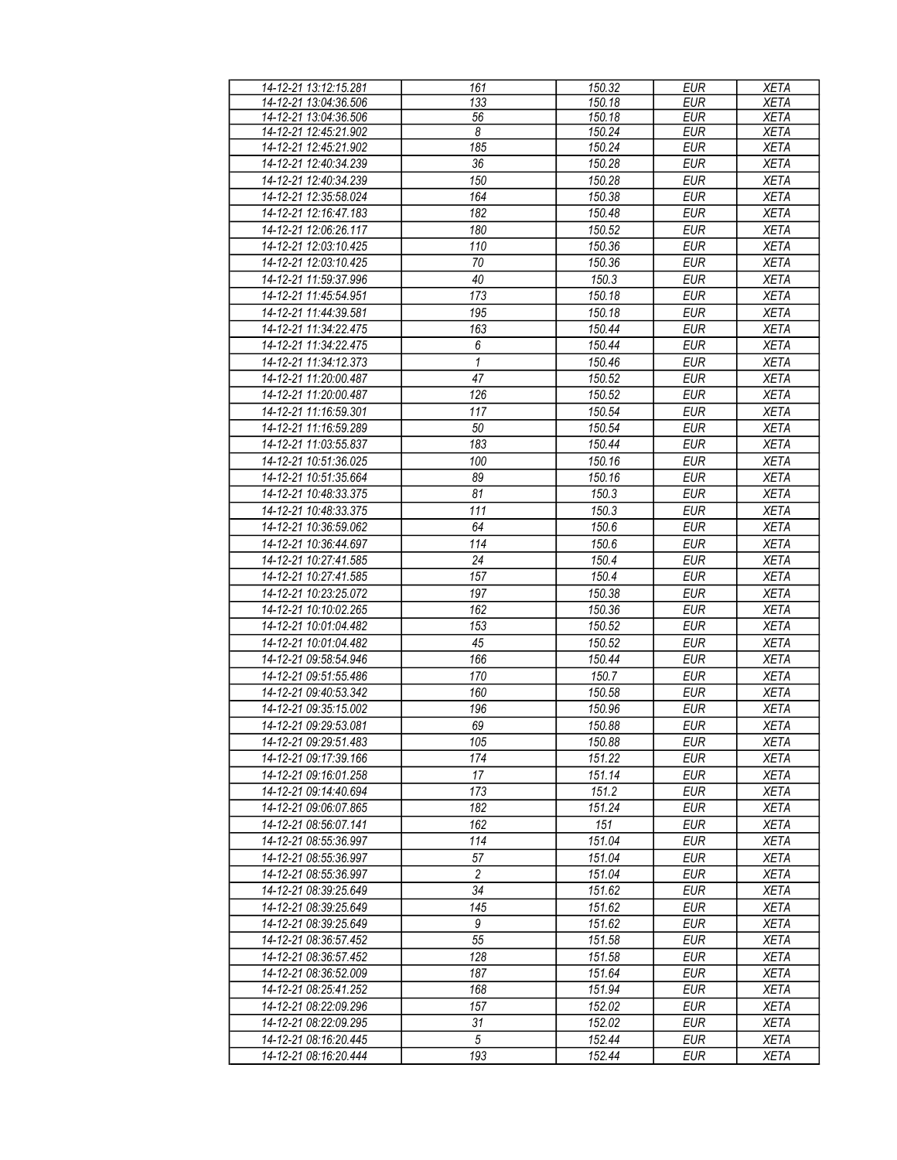| 14-12-21 13:12:15.281 | 161             | 150.32 | <b>EUR</b> | <b>XETA</b> |
|-----------------------|-----------------|--------|------------|-------------|
| 14-12-21 13:04:36.506 | 133             | 150.18 | <b>EUR</b> | <b>XETA</b> |
| 14-12-21 13:04:36.506 | 56              | 150.18 | <b>EUR</b> | <b>XETA</b> |
|                       |                 |        |            |             |
| 14-12-21 12:45:21.902 | 8               | 150.24 | <b>EUR</b> | <b>XETA</b> |
| 14-12-21 12:45:21.902 | 185             | 150.24 | <b>EUR</b> | <b>XETA</b> |
| 14-12-21 12:40:34.239 | 36              | 150.28 | <b>EUR</b> | <b>XETA</b> |
| 14-12-21 12:40:34.239 | 150             | 150.28 | <b>EUR</b> | <b>XETA</b> |
| 14-12-21 12:35:58.024 | 164             | 150.38 | <b>EUR</b> | <b>XETA</b> |
| 14-12-21 12:16:47.183 | 182             | 150.48 | <b>EUR</b> | <b>XETA</b> |
| 14-12-21 12:06:26.117 | 180             | 150.52 | <b>EUR</b> | <b>XETA</b> |
|                       | 110             | 150.36 |            | <b>XETA</b> |
| 14-12-21 12:03:10.425 |                 |        | <b>EUR</b> |             |
| 14-12-21 12:03:10.425 | $70\,$          | 150.36 | <b>EUR</b> | <b>XETA</b> |
| 14-12-21 11:59:37.996 | $\overline{40}$ | 150.3  | <b>EUR</b> | <b>XETA</b> |
| 14-12-21 11:45:54.951 | 173             | 150.18 | <b>EUR</b> | <b>XETA</b> |
| 14-12-21 11:44:39.581 | 195             | 150.18 | <b>EUR</b> | <b>XETA</b> |
| 14-12-21 11:34:22.475 | 163             | 150.44 | <b>EUR</b> | <b>XETA</b> |
| 14-12-21 11:34:22.475 | 6               | 150.44 | <b>EUR</b> | <b>XETA</b> |
|                       |                 |        |            |             |
| 14-12-21 11:34:12.373 | 1               | 150.46 | <b>EUR</b> | <b>XETA</b> |
| 14-12-21 11:20:00.487 | 47              | 150.52 | <b>EUR</b> | <b>XETA</b> |
| 14-12-21 11:20:00.487 | 126             | 150.52 | <b>EUR</b> | <b>XETA</b> |
| 14-12-21 11:16:59.301 | 117             | 150.54 | <b>EUR</b> | <b>XETA</b> |
| 14-12-21 11:16:59.289 | 50              | 150.54 | <b>EUR</b> | <b>XETA</b> |
| 14-12-21 11:03:55.837 | 183             | 150.44 | <b>EUR</b> | <b>XETA</b> |
| 14-12-21 10:51:36.025 | 100             | 150.16 | <b>EUR</b> | <b>XETA</b> |
| 14-12-21 10:51:35.664 | 89              | 150.16 | <b>EUR</b> | <b>XETA</b> |
|                       |                 |        |            |             |
| 14-12-21 10:48:33.375 | 81              | 150.3  | <b>EUR</b> | <b>XETA</b> |
| 14-12-21 10:48:33.375 | 111             | 150.3  | <b>EUR</b> | <b>XETA</b> |
| 14-12-21 10:36:59.062 | 64              | 150.6  | <b>EUR</b> | <b>XETA</b> |
| 14-12-21 10:36:44.697 | 114             | 150.6  | <b>EUR</b> | <b>XETA</b> |
| 14-12-21 10:27:41.585 | 24              | 150.4  | <b>EUR</b> | <b>XETA</b> |
| 14-12-21 10:27:41.585 | 157             | 150.4  | <b>EUR</b> | <b>XETA</b> |
| 14-12-21 10:23:25.072 | 197             | 150.38 | <b>EUR</b> | <b>XETA</b> |
| 14-12-21 10:10:02.265 | 162             | 150.36 | <b>EUR</b> | <b>XETA</b> |
| 14-12-21 10:01:04.482 | 153             | 150.52 | <b>EUR</b> | <b>XETA</b> |
| 14-12-21 10:01:04.482 | 45              | 150.52 | <b>EUR</b> | <b>XETA</b> |
| 14-12-21 09:58:54.946 | 166             | 150.44 | <b>EUR</b> | <b>XETA</b> |
| 14-12-21 09:51:55.486 | 170             | 150.7  | <b>EUR</b> | <b>XETA</b> |
| 14-12-21 09:40:53.342 | 160             | 150.58 | <b>EUR</b> | <b>XETA</b> |
|                       |                 |        |            |             |
| 14-12-21 09:35:15.002 | 196             | 150.96 | EUR        | <b>XETA</b> |
| 14-12-21 09:29:53.081 | 69              | 150.88 | <b>EUR</b> | <b>XETA</b> |
| 14-12-21 09:29:51.483 | 105             | 150.88 | EUR        | <b>XETA</b> |
| 14-12-21 09:17:39.166 | 174             | 151.22 | <b>EUR</b> | <b>XETA</b> |
| 14-12-21 09:16:01.258 | 17              | 151.14 | <b>EUR</b> | XETA        |
| 14-12-21 09:14:40.694 | 173             | 151.2  | EUR        | <b>XETA</b> |
| 14-12-21 09:06:07.865 | 182             | 151.24 | <b>EUR</b> | <b>XETA</b> |
| 14-12-21 08:56:07.141 | 162             | 151    | <b>EUR</b> | <b>XETA</b> |
| 14-12-21 08:55:36.997 | 114             | 151.04 | <b>EUR</b> | <b>XETA</b> |
| 14-12-21 08:55:36.997 | 57              | 151.04 | <b>EUR</b> | <b>XETA</b> |
| 14-12-21 08:55:36.997 | $\overline{c}$  | 151.04 | <b>EUR</b> | <b>XETA</b> |
| 14-12-21 08:39:25.649 | 34              | 151.62 | <b>EUR</b> | <b>XETA</b> |
|                       |                 |        |            |             |
| 14-12-21 08:39:25.649 | 145             | 151.62 | <b>EUR</b> | <b>XETA</b> |
| 14-12-21 08:39:25.649 | 9               | 151.62 | <b>EUR</b> | <b>XETA</b> |
| 14-12-21 08:36:57.452 | 55              | 151.58 | <b>EUR</b> | <b>XETA</b> |
| 14-12-21 08:36:57.452 | 128             | 151.58 | <b>EUR</b> | XETA        |
| 14-12-21 08:36:52.009 | 187             | 151.64 | <b>EUR</b> | <b>XETA</b> |
| 14-12-21 08:25:41.252 | 168             | 151.94 | <b>EUR</b> | <b>XETA</b> |
| 14-12-21 08:22:09.296 | 157             | 152.02 | <b>EUR</b> | <b>XETA</b> |
| 14-12-21 08:22:09.295 | 31              | 152.02 | <b>EUR</b> | <b>XETA</b> |
| 14-12-21 08:16:20.445 | $\sqrt{5}$      | 152.44 | <b>EUR</b> | <b>XETA</b> |
| 14-12-21 08:16:20.444 | 193             | 152.44 | EUR        |             |
|                       |                 |        |            | XETA        |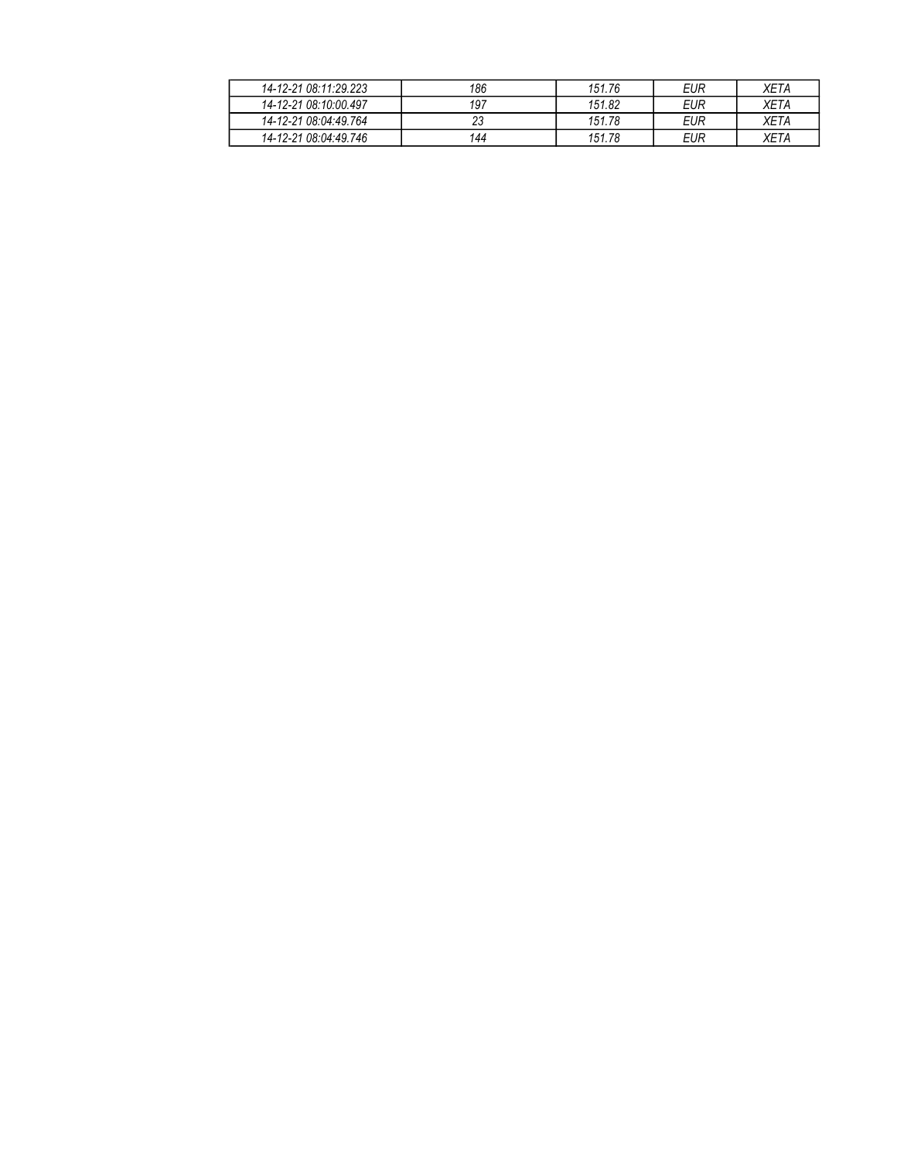| 14-12-21 08:11:29.223 | 186 | 151.76 | EUR | XETA |
|-----------------------|-----|--------|-----|------|
| 14-12-21 08:10:00.497 | 197 | 151.82 | EUR | XETA |
| 14-12-21 08:04:49.764 | ۷J  | 151.78 | EUR | XETA |
| 14-12-21 08:04:49.746 | 144 | 151.78 | EUR | XETA |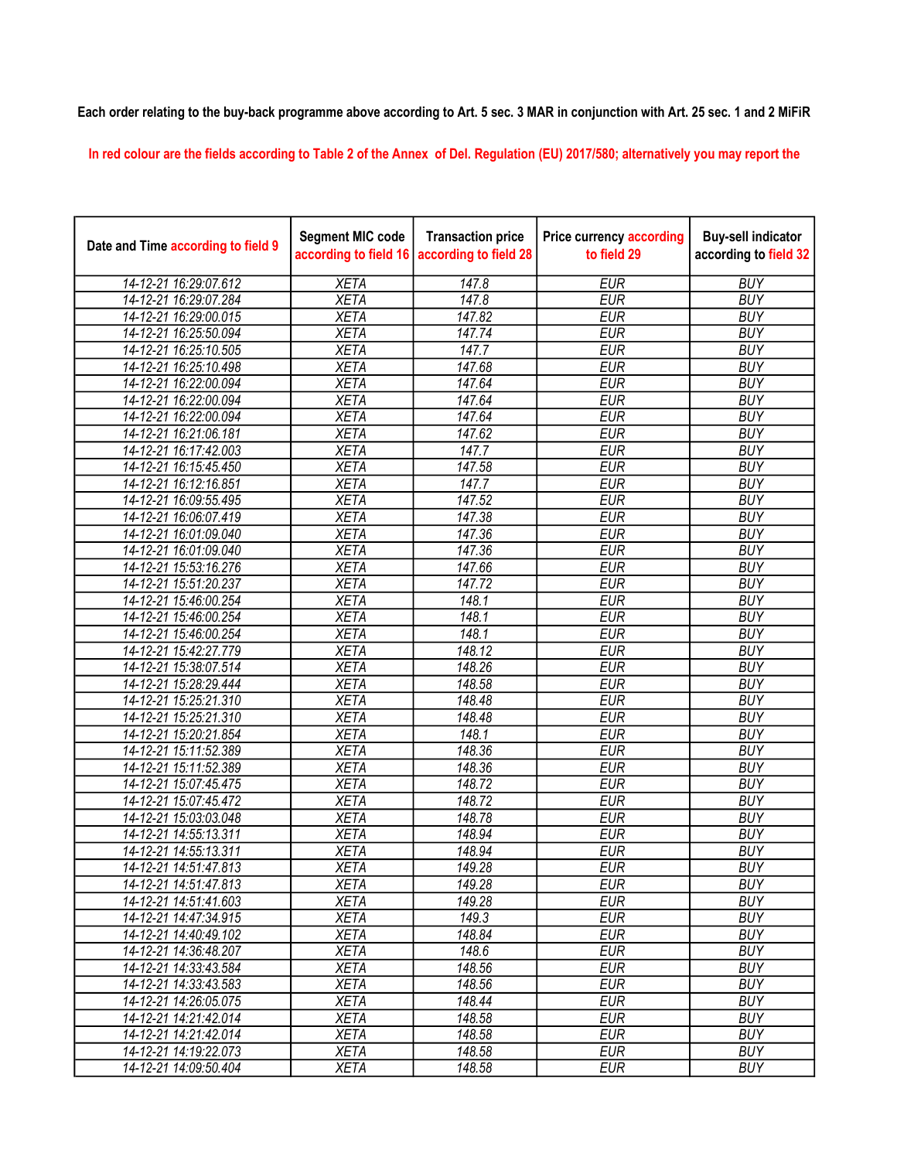## Each order relating to the buy-back programme above according to Art. 5 sec. 3 MAR in conjunction with Art. 25 sec. 1 and 2 MiFiR

In red colour are the fields according to Table 2 of the Annex of Del. Regulation (EU) 2017/580; alternatively you may report the

| Date and Time according to field 9 | <b>Segment MIC code</b><br>according to field 16 | <b>Transaction price</b><br>according to field 28 | <b>Price currency according</b><br>to field 29 | <b>Buy-sell indicator</b><br>according to field 32 |
|------------------------------------|--------------------------------------------------|---------------------------------------------------|------------------------------------------------|----------------------------------------------------|
| 14-12-21 16:29:07.612              | <b>XETA</b>                                      | 147.8                                             | <b>EUR</b>                                     | <b>BUY</b>                                         |
| 14-12-21 16:29:07.284              | <b>XETA</b>                                      | 147.8                                             | <b>EUR</b>                                     | <b>BUY</b>                                         |
| 14-12-21 16:29:00.015              | <b>XETA</b>                                      | 147.82                                            | <b>EUR</b>                                     | <b>BUY</b>                                         |
| 14-12-21 16:25:50.094              | <b>XETA</b>                                      | 147.74                                            | <b>EUR</b>                                     | <b>BUY</b>                                         |
| 14-12-21 16:25:10.505              | <b>XETA</b>                                      | 147.7                                             | <b>EUR</b>                                     | <b>BUY</b>                                         |
| 14-12-21 16:25:10.498              | <b>XETA</b>                                      | 147.68                                            | <b>EUR</b>                                     | <b>BUY</b>                                         |
| 14-12-21 16:22:00.094              | <b>XETA</b>                                      | 147.64                                            | <b>EUR</b>                                     | <b>BUY</b>                                         |
| 14-12-21 16:22:00.094              | <b>XETA</b>                                      | 147.64                                            | <b>EUR</b>                                     | <b>BUY</b>                                         |
| 14-12-21 16:22:00.094              | <b>XETA</b>                                      | 147.64                                            | <b>EUR</b>                                     | <b>BUY</b>                                         |
| 14-12-21 16:21:06.181              | <b>XETA</b>                                      | 147.62                                            | <b>EUR</b>                                     | <b>BUY</b>                                         |
| 14-12-21 16:17:42.003              | <b>XETA</b>                                      | 147.7                                             | <b>EUR</b>                                     | <b>BUY</b>                                         |
| 14-12-21 16:15:45.450              | <b>XETA</b>                                      | 147.58                                            | <b>EUR</b>                                     | <b>BUY</b>                                         |
| 14-12-21 16:12:16.851              | <b>XETA</b>                                      | 147.7                                             | <b>EUR</b>                                     | <b>BUY</b>                                         |
| 14-12-21 16:09:55.495              | <b>XETA</b>                                      | 147.52                                            | <b>EUR</b>                                     | <b>BUY</b>                                         |
| 14-12-21 16:06:07.419              | <b>XETA</b>                                      | 147.38                                            | <b>EUR</b>                                     | <b>BUY</b>                                         |
| 14-12-21 16:01:09.040              | <b>XETA</b>                                      | 147.36                                            | <b>EUR</b>                                     | <b>BUY</b>                                         |
| 14-12-21 16:01:09.040              | <b>XETA</b>                                      | 147.36                                            | <b>EUR</b>                                     | <b>BUY</b>                                         |
| 14-12-21 15:53:16.276              | <b>XETA</b>                                      | 147.66                                            | <b>EUR</b>                                     | <b>BUY</b>                                         |
| 14-12-21 15:51:20.237              | <b>XETA</b>                                      | 147.72                                            | <b>EUR</b>                                     | <b>BUY</b>                                         |
| 14-12-21 15:46:00.254              | <b>XETA</b>                                      | 148.1                                             | <b>EUR</b>                                     | <b>BUY</b>                                         |
| 14-12-21 15:46:00.254              | <b>XETA</b>                                      | 148.1                                             | <b>EUR</b>                                     | <b>BUY</b>                                         |
| 14-12-21 15:46:00.254              | <b>XETA</b>                                      | 148.1                                             | <b>EUR</b>                                     | <b>BUY</b>                                         |
| 14-12-21 15:42:27.779              | <b>XETA</b>                                      | 148.12                                            | <b>EUR</b>                                     | <b>BUY</b>                                         |
| 14-12-21 15:38:07.514              | <b>XETA</b>                                      | 148.26                                            | <b>EUR</b>                                     | <b>BUY</b>                                         |
| 14-12-21 15:28:29.444              | <b>XETA</b>                                      | 148.58                                            | <b>EUR</b>                                     | <b>BUY</b>                                         |
| 14-12-21 15:25:21.310              | <b>XETA</b>                                      | $\overline{148.48}$                               | <b>EUR</b>                                     | <b>BUY</b>                                         |
| 14-12-21 15:25:21.310              | <b>XETA</b>                                      | 148.48                                            | <b>EUR</b>                                     | <b>BUY</b>                                         |
| 14-12-21 15:20:21.854              | <b>XETA</b>                                      | 148.1                                             | <b>EUR</b>                                     | <b>BUY</b>                                         |
| 14-12-21 15:11:52.389              | <b>XETA</b>                                      | 148.36                                            | <b>EUR</b>                                     | <b>BUY</b>                                         |
| 14-12-21 15:11:52.389              | <b>XETA</b>                                      | 148.36                                            | <b>EUR</b>                                     | <b>BUY</b>                                         |
| 14-12-21 15:07:45.475              | <b>XETA</b>                                      | 148.72                                            | <b>EUR</b>                                     | <b>BUY</b>                                         |
| 14-12-21 15:07:45.472              | <b>XETA</b>                                      | 148.72                                            | <b>EUR</b>                                     | <b>BUY</b>                                         |
| 14-12-21 15:03:03.048              | <b>XETA</b>                                      | 148.78                                            | <b>EUR</b>                                     | <b>BUY</b>                                         |
| 14-12-21 14:55:13.311              | <b>XETA</b>                                      | 148.94                                            | <b>EUR</b>                                     | <b>BUY</b>                                         |
| 14-12-21 14:55:13.311              | <b>XETA</b>                                      | 148.94                                            | <b>EUR</b>                                     | <b>BUY</b>                                         |
| 14-12-21 14:51:47.813              | <b>XETA</b>                                      | 149.28                                            | <b>EUR</b>                                     | <b>BUY</b>                                         |
| 14-12-21 14:51:47.813              | XETA                                             | 149.28                                            | <b>EUR</b>                                     | <b>BUY</b>                                         |
| 14-12-21 14:51:41.603              | <b>XETA</b>                                      | 149.28                                            | <b>EUR</b>                                     | <b>BUY</b>                                         |
| 14-12-21 14:47:34.915              | <b>XETA</b>                                      | 149.3                                             | <b>EUR</b>                                     | <b>BUY</b>                                         |
| 14-12-21 14:40:49.102              | <b>XETA</b>                                      | 148.84                                            | <b>EUR</b>                                     | <b>BUY</b>                                         |
| 14-12-21 14:36:48.207              | <b>XETA</b>                                      | 148.6                                             | <b>EUR</b>                                     | <b>BUY</b>                                         |
| 14-12-21 14:33:43.584              | <b>XETA</b>                                      | 148.56                                            | <b>EUR</b>                                     | <b>BUY</b>                                         |
| 14-12-21 14:33:43.583              | <b>XETA</b>                                      | 148.56                                            | <b>EUR</b>                                     | <b>BUY</b>                                         |
| 14-12-21 14:26:05.075              | <b>XETA</b>                                      | 148.44                                            | <b>EUR</b>                                     | <b>BUY</b>                                         |
| 14-12-21 14:21:42.014              | <b>XETA</b>                                      | 148.58                                            | <b>EUR</b>                                     | <b>BUY</b>                                         |
| 14-12-21 14:21:42.014              | <b>XETA</b>                                      | 148.58                                            | <b>EUR</b>                                     | <b>BUY</b>                                         |
| 14-12-21 14:19:22.073              | <b>XETA</b>                                      | 148.58                                            | EUR                                            | <b>BUY</b>                                         |
| 14-12-21 14:09:50.404              | <b>XETA</b>                                      | 148.58                                            | <b>EUR</b>                                     | <b>BUY</b>                                         |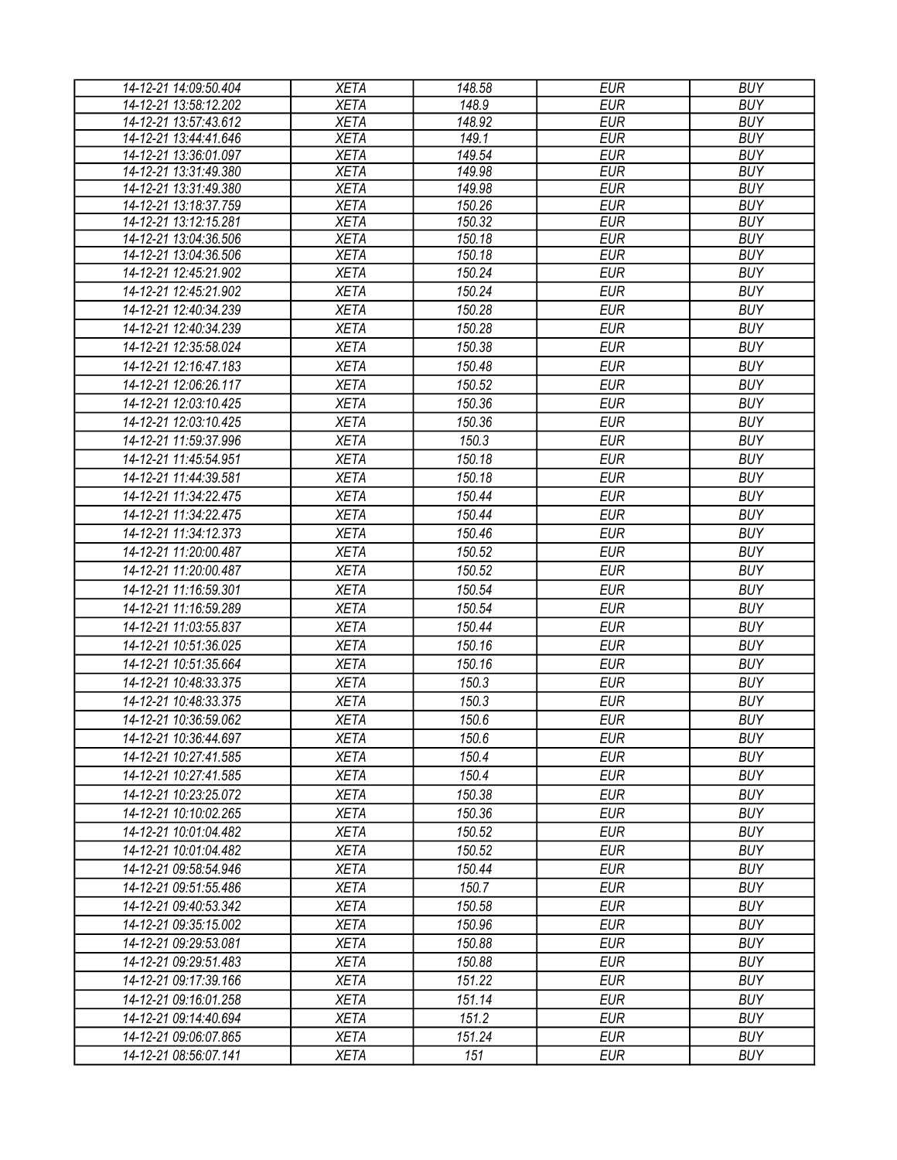| 14-12-21 14:09:50.404 | <b>XETA</b> | 148.58 | <b>EUR</b> | <b>BUY</b> |
|-----------------------|-------------|--------|------------|------------|
| 14-12-21 13:58:12.202 | <b>XETA</b> | 148.9  | <b>EUR</b> | <b>BUY</b> |
| 14-12-21 13:57:43.612 | <b>XETA</b> | 148.92 | <b>EUR</b> | <b>BUY</b> |
| 14-12-21 13:44:41.646 | <b>XETA</b> | 149.1  | <b>EUR</b> | <b>BUY</b> |
| 14-12-21 13:36:01.097 | <b>XETA</b> | 149.54 | <b>EUR</b> | <b>BUY</b> |
| 14-12-21 13:31:49.380 | <b>XETA</b> | 149.98 | <b>EUR</b> | <b>BUY</b> |
| 14-12-21 13:31:49.380 | <b>XETA</b> | 149.98 | <b>EUR</b> | <b>BUY</b> |
| 14-12-21 13:18:37.759 | <b>XETA</b> | 150.26 | <b>EUR</b> | <b>BUY</b> |
| 14-12-21 13:12:15.281 | <b>XETA</b> | 150.32 | <b>EUR</b> | <b>BUY</b> |
| 14-12-21 13:04:36.506 | <b>XETA</b> | 150.18 | <b>EUR</b> | <b>BUY</b> |
| 14-12-21 13:04:36.506 | <b>XETA</b> | 150.18 | <b>EUR</b> | <b>BUY</b> |
| 14-12-21 12:45:21.902 | <b>XETA</b> | 150.24 | <b>EUR</b> | <b>BUY</b> |
| 14-12-21 12:45:21.902 | <b>XETA</b> | 150.24 | <b>EUR</b> | <b>BUY</b> |
| 14-12-21 12:40:34.239 | <b>XETA</b> | 150.28 | <b>EUR</b> | <b>BUY</b> |
| 14-12-21 12:40:34.239 | <b>XETA</b> | 150.28 | <b>EUR</b> | <b>BUY</b> |
| 14-12-21 12:35:58.024 | <b>XETA</b> | 150.38 | <b>EUR</b> | <b>BUY</b> |
| 14-12-21 12:16:47.183 | <b>XETA</b> | 150.48 | <b>EUR</b> | <b>BUY</b> |
| 14-12-21 12:06:26.117 | <b>XETA</b> | 150.52 | <b>EUR</b> | <b>BUY</b> |
| 14-12-21 12:03:10.425 | <b>XETA</b> | 150.36 | <b>EUR</b> | <b>BUY</b> |
| 14-12-21 12:03:10.425 | <b>XETA</b> | 150.36 | <b>EUR</b> | <b>BUY</b> |
| 14-12-21 11:59:37.996 | <b>XETA</b> | 150.3  | <b>EUR</b> | <b>BUY</b> |
| 14-12-21 11:45:54.951 | <b>XETA</b> | 150.18 | <b>EUR</b> | <b>BUY</b> |
| 14-12-21 11:44:39.581 | <b>XETA</b> | 150.18 | <b>EUR</b> | <b>BUY</b> |
| 14-12-21 11:34:22.475 |             |        | <b>EUR</b> | <b>BUY</b> |
|                       | <b>XETA</b> | 150.44 |            |            |
| 14-12-21 11:34:22.475 | <b>XETA</b> | 150.44 | <b>EUR</b> | <b>BUY</b> |
| 14-12-21 11:34:12.373 | <b>XETA</b> | 150.46 | <b>EUR</b> | <b>BUY</b> |
| 14-12-21 11:20:00.487 | <b>XETA</b> | 150.52 | <b>EUR</b> | <b>BUY</b> |
| 14-12-21 11:20:00.487 | <b>XETA</b> | 150.52 | <b>EUR</b> | <b>BUY</b> |
| 14-12-21 11:16:59.301 | <b>XETA</b> | 150.54 | <b>EUR</b> | <b>BUY</b> |
| 14-12-21 11:16:59.289 | <b>XETA</b> | 150.54 | <b>EUR</b> | <b>BUY</b> |
| 14-12-21 11:03:55.837 | <b>XETA</b> | 150.44 | <b>EUR</b> | <b>BUY</b> |
| 14-12-21 10:51:36.025 | <b>XETA</b> | 150.16 | <b>EUR</b> | <b>BUY</b> |
| 14-12-21 10:51:35.664 | <b>XETA</b> | 150.16 | <b>EUR</b> | <b>BUY</b> |
| 14-12-21 10:48:33.375 | <b>XETA</b> | 150.3  | <b>EUR</b> | <b>BUY</b> |
| 14-12-21 10:48:33.375 | <b>XETA</b> | 150.3  | <b>EUR</b> | <b>BUY</b> |
| 14-12-21 10:36:59.062 | <b>XETA</b> | 150.6  | <b>EUR</b> | <b>BUY</b> |
| 14-12-21 10:36:44.697 | <b>XETA</b> | 150.6  | <b>EUR</b> | <b>BUY</b> |
| 14-12-21 10:27:41.585 | <b>XETA</b> | 150.4  | EUR        | <b>BUY</b> |
| 14-12-21 10:27:41.585 | <b>XETA</b> | 150.4  | <b>EUR</b> | <b>BUY</b> |
| 14-12-21 10:23:25.072 | <b>XETA</b> | 150.38 | <b>EUR</b> | <b>BUY</b> |
|                       |             |        |            |            |
| 14-12-21 10:10:02.265 | <b>XETA</b> | 150.36 | <b>EUR</b> | <b>BUY</b> |
| 14-12-21 10:01:04.482 | <b>XETA</b> | 150.52 | <b>EUR</b> | <b>BUY</b> |
| 14-12-21 10:01:04.482 | <b>XETA</b> | 150.52 | <b>EUR</b> | <b>BUY</b> |
| 14-12-21 09:58:54.946 | <b>XETA</b> | 150.44 | <b>EUR</b> | <b>BUY</b> |
| 14-12-21 09:51:55.486 | <b>XETA</b> | 150.7  | <b>EUR</b> | <b>BUY</b> |
| 14-12-21 09:40:53.342 | <b>XETA</b> | 150.58 | <b>EUR</b> | <b>BUY</b> |
| 14-12-21 09:35:15.002 | <b>XETA</b> | 150.96 | <b>EUR</b> | <b>BUY</b> |
| 14-12-21 09:29:53.081 | <b>XETA</b> | 150.88 | <b>EUR</b> | <b>BUY</b> |
| 14-12-21 09:29:51.483 | <b>XETA</b> | 150.88 | <b>EUR</b> | <b>BUY</b> |
| 14-12-21 09:17:39.166 | <b>XETA</b> | 151.22 | <b>EUR</b> | <b>BUY</b> |
| 14-12-21 09:16:01.258 | <b>XETA</b> | 151.14 | <b>EUR</b> | <b>BUY</b> |
| 14-12-21 09:14:40.694 | <b>XETA</b> | 151.2  | <b>EUR</b> | <b>BUY</b> |
| 14-12-21 09:06:07.865 | <b>XETA</b> | 151.24 | <b>EUR</b> | <b>BUY</b> |
| 14-12-21 08:56:07.141 | <b>XETA</b> | 151    | <b>EUR</b> | <b>BUY</b> |
|                       |             |        |            |            |